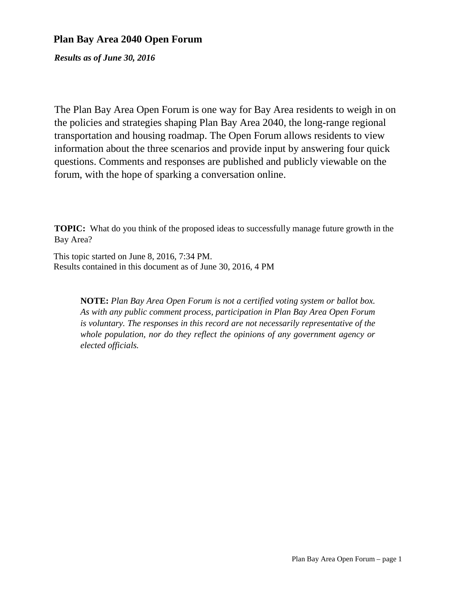# **Plan Bay Area 2040 Open Forum**

*Results as of June 30, 2016*

The Plan Bay Area Open Forum is one way for Bay Area residents to weigh in on the policies and strategies shaping Plan Bay Area 2040, the long-range regional transportation and housing roadmap. The Open Forum allows residents to view information about the three scenarios and provide input by answering four quick questions. Comments and responses are published and publicly viewable on the forum, with the hope of sparking a conversation online.

**TOPIC:** What do you think of the proposed ideas to successfully manage future growth in the Bay Area?

This topic started on June 8, 2016, 7:34 PM. Results contained in this document as of June 30, 2016, 4 PM

> **NOTE:** *Plan Bay Area Open Forum is not a certified voting system or ballot box. As with any public comment process, participation in Plan Bay Area Open Forum is voluntary. The responses in this record are not necessarily representative of the whole population, nor do they reflect the opinions of any government agency or elected officials.*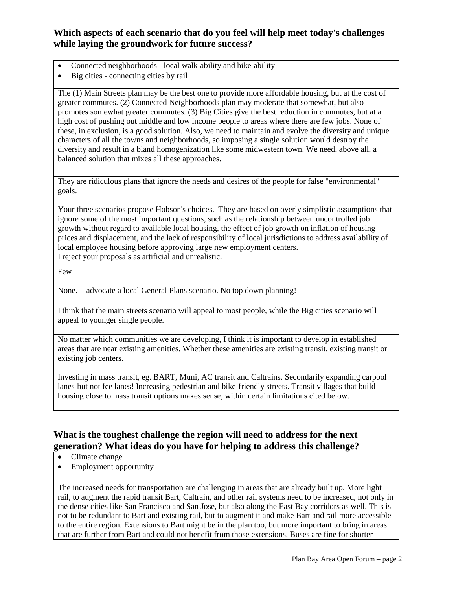## **Which aspects of each scenario that do you feel will help meet today's challenges while laying the groundwork for future success?**

- Connected neighborhoods local walk-ability and bike-ability
- Big cities connecting cities by rail

The (1) Main Streets plan may be the best one to provide more affordable housing, but at the cost of greater commutes. (2) Connected Neighborhoods plan may moderate that somewhat, but also promotes somewhat greater commutes. (3) Big Cities give the best reduction in commutes, but at a high cost of pushing out middle and low income people to areas where there are few jobs. None of these, in exclusion, is a good solution. Also, we need to maintain and evolve the diversity and unique characters of all the towns and neighborhoods, so imposing a single solution would destroy the diversity and result in a bland homogenization like some midwestern town. We need, above all, a balanced solution that mixes all these approaches.

They are ridiculous plans that ignore the needs and desires of the people for false "environmental" goals.

Your three scenarios propose Hobson's choices. They are based on overly simplistic assumptions that ignore some of the most important questions, such as the relationship between uncontrolled job growth without regard to available local housing, the effect of job growth on inflation of housing prices and displacement, and the lack of responsibility of local jurisdictions to address availability of local employee housing before approving large new employment centers. I reject your proposals as artificial and unrealistic.

Few

None. I advocate a local General Plans scenario. No top down planning!

I think that the main streets scenario will appeal to most people, while the Big cities scenario will appeal to younger single people.

No matter which communities we are developing, I think it is important to develop in established areas that are near existing amenities. Whether these amenities are existing transit, existing transit or existing job centers.

Investing in mass transit, eg. BART, Muni, AC transit and Caltrains. Secondarily expanding carpool lanes-but not fee lanes! Increasing pedestrian and bike-friendly streets. Transit villages that build housing close to mass transit options makes sense, within certain limitations cited below.

## **What is the toughest challenge the region will need to address for the next generation? What ideas do you have for helping to address this challenge?**

- Climate change
- Employment opportunity

The increased needs for transportation are challenging in areas that are already built up. More light rail, to augment the rapid transit Bart, Caltrain, and other rail systems need to be increased, not only in the dense cities like San Francisco and San Jose, but also along the East Bay corridors as well. This is not to be redundant to Bart and existing rail, but to augment it and make Bart and rail more accessible to the entire region. Extensions to Bart might be in the plan too, but more important to bring in areas that are further from Bart and could not benefit from those extensions. Buses are fine for shorter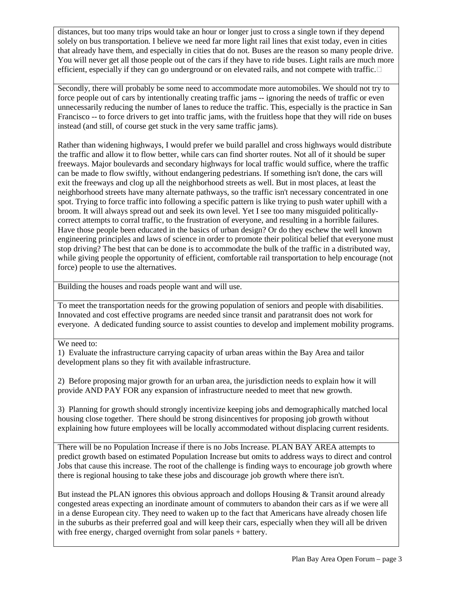distances, but too many trips would take an hour or longer just to cross a single town if they depend solely on bus transportation. I believe we need far more light rail lines that exist today, even in cities that already have them, and especially in cities that do not. Buses are the reason so many people drive. You will never get all those people out of the cars if they have to ride buses. Light rails are much more efficient, especially if they can go underground or on elevated rails, and not compete with traffic.  $\Box$ 

Secondly, there will probably be some need to accommodate more automobiles. We should not try to force people out of cars by intentionally creating traffic jams -- ignoring the needs of traffic or even unnecessarily reducing the number of lanes to reduce the traffic. This, especially is the practice in San Francisco -- to force drivers to get into traffic jams, with the fruitless hope that they will ride on buses instead (and still, of course get stuck in the very same traffic jams).

Rather than widening highways, I would prefer we build parallel and cross highways would distribute the traffic and allow it to flow better, while cars can find shorter routes. Not all of it should be super freeways. Major boulevards and secondary highways for local traffic would suffice, where the traffic can be made to flow swiftly, without endangering pedestrians. If something isn't done, the cars will exit the freeways and clog up all the neighborhood streets as well. But in most places, at least the neighborhood streets have many alternate pathways, so the traffic isn't necessary concentrated in one spot. Trying to force traffic into following a specific pattern is like trying to push water uphill with a broom. It will always spread out and seek its own level. Yet I see too many misguided politicallycorrect attempts to corral traffic, to the frustration of everyone, and resulting in a horrible failures. Have those people been educated in the basics of urban design? Or do they eschew the well known engineering principles and laws of science in order to promote their political belief that everyone must stop driving? The best that can be done is to accommodate the bulk of the traffic in a distributed way, while giving people the opportunity of efficient, comfortable rail transportation to help encourage (not force) people to use the alternatives.

Building the houses and roads people want and will use.

To meet the transportation needs for the growing population of seniors and people with disabilities. Innovated and cost effective programs are needed since transit and paratransit does not work for everyone. A dedicated funding source to assist counties to develop and implement mobility programs.

#### We need to:

1) Evaluate the infrastructure carrying capacity of urban areas within the Bay Area and tailor development plans so they fit with available infrastructure.

2) Before proposing major growth for an urban area, the jurisdiction needs to explain how it will provide AND PAY FOR any expansion of infrastructure needed to meet that new growth.

3) Planning for growth should strongly incentivize keeping jobs and demographically matched local housing close together. There should be strong disincentives for proposing job growth without explaining how future employees will be locally accommodated without displacing current residents.

There will be no Population Increase if there is no Jobs Increase. PLAN BAY AREA attempts to predict growth based on estimated Population Increase but omits to address ways to direct and control Jobs that cause this increase. The root of the challenge is finding ways to encourage job growth where there is regional housing to take these jobs and discourage job growth where there isn't.

But instead the PLAN ignores this obvious approach and dollops Housing & Transit around already congested areas expecting an inordinate amount of commuters to abandon their cars as if we were all in a dense European city. They need to waken up to the fact that Americans have already chosen life in the suburbs as their preferred goal and will keep their cars, especially when they will all be driven with free energy, charged overnight from solar panels + battery.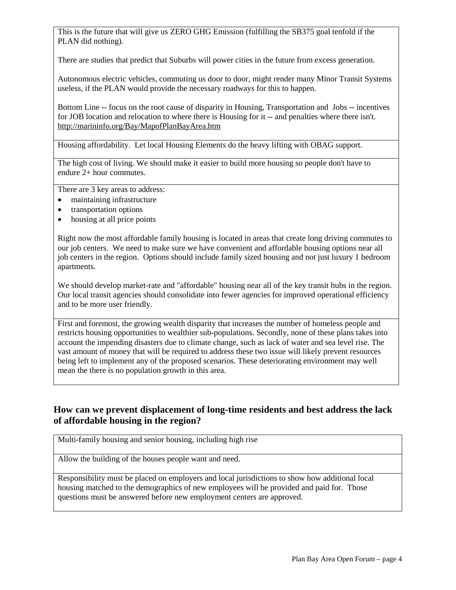This is the future that will give us ZERO GHG Emission (fulfilling the SB375 goal tenfold if the PLAN did nothing).

There are studies that predict that Suburbs will power cities in the future from excess generation.

Autonomous electric vehicles, commuting us door to door, might render many Minor Transit Systems useless, if the PLAN would provide the necessary roadways for this to happen.

Bottom Line -- focus on the root cause of disparity in Housing, Transportation and Jobs -- incentives for JOB location and relocation to where there is Housing for it -- and penalties where there isn't. <http://marininfo.org/Bay/MapofPlanBayArea.htm>

Housing affordability. Let local Housing Elements do the heavy lifting with OBAG support.

The high cost of living. We should make it easier to build more housing so people don't have to endure 2+ hour commutes.

There are 3 key areas to address:

- maintaining infrastructure
- transportation options
- housing at all price points

Right now the most affordable family housing is located in areas that create long driving commutes to our job centers. We need to make sure we have convenient and affordable housing options near all job centers in the region. Options should include family sized housing and not just luxury 1 bedroom apartments.

We should develop market-rate and "affordable" housing near all of the key transit hubs in the region. Our local transit agencies should consolidate into fewer agencies for improved operational efficiency and to be more user friendly.

First and foremost, the growing wealth disparity that increases the number of homeless people and restricts housing opportunities to wealthier sub-populations. Secondly, none of these plans takes into account the impending disasters due to climate change, such as lack of water and sea level rise. The vast amount of money that will be required to address these two issue will likely prevent resources being left to implement any of the proposed scenarios. These deteriorating environment may well mean the there is no population growth in this area.

### **How can we prevent displacement of long-time residents and best address the lack of affordable housing in the region?**

Multi-family housing and senior housing, including high rise

Allow the building of the houses people want and need.

Responsibility must be placed on employers and local jurisdictions to show how additional local housing matched to the demographics of new employees will be provided and paid for. Those questions must be answered before new employment centers are approved.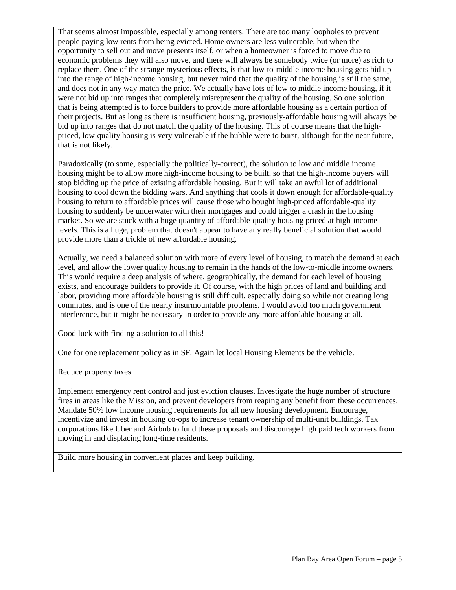That seems almost impossible, especially among renters. There are too many loopholes to prevent people paying low rents from being evicted. Home owners are less vulnerable, but when the opportunity to sell out and move presents itself, or when a homeowner is forced to move due to economic problems they will also move, and there will always be somebody twice (or more) as rich to replace them. One of the strange mysterious effects, is that low-to-middle income housing gets bid up into the range of high-income housing, but never mind that the quality of the housing is still the same, and does not in any way match the price. We actually have lots of low to middle income housing, if it were not bid up into ranges that completely misrepresent the quality of the housing. So one solution that is being attempted is to force builders to provide more affordable housing as a certain portion of their projects. But as long as there is insufficient housing, previously-affordable housing will always be bid up into ranges that do not match the quality of the housing. This of course means that the highpriced, low-quality housing is very vulnerable if the bubble were to burst, although for the near future, that is not likely.

Paradoxically (to some, especially the politically-correct), the solution to low and middle income housing might be to allow more high-income housing to be built, so that the high-income buyers will stop bidding up the price of existing affordable housing. But it will take an awful lot of additional housing to cool down the bidding wars. And anything that cools it down enough for affordable-quality housing to return to affordable prices will cause those who bought high-priced affordable-quality housing to suddenly be underwater with their mortgages and could trigger a crash in the housing market. So we are stuck with a huge quantity of affordable-quality housing priced at high-income levels. This is a huge, problem that doesn't appear to have any really beneficial solution that would provide more than a trickle of new affordable housing.

Actually, we need a balanced solution with more of every level of housing, to match the demand at each level, and allow the lower quality housing to remain in the hands of the low-to-middle income owners. This would require a deep analysis of where, geographically, the demand for each level of housing exists, and encourage builders to provide it. Of course, with the high prices of land and building and labor, providing more affordable housing is still difficult, especially doing so while not creating long commutes, and is one of the nearly insurmountable problems. I would avoid too much government interference, but it might be necessary in order to provide any more affordable housing at all.

Good luck with finding a solution to all this!

One for one replacement policy as in SF. Again let local Housing Elements be the vehicle.

Reduce property taxes.

Implement emergency rent control and just eviction clauses. Investigate the huge number of structure fires in areas like the Mission, and prevent developers from reaping any benefit from these occurrences. Mandate 50% low income housing requirements for all new housing development. Encourage, incentivize and invest in housing co-ops to increase tenant ownership of multi-unit buildings. Tax corporations like Uber and Airbnb to fund these proposals and discourage high paid tech workers from moving in and displacing long-time residents.

Build more housing in convenient places and keep building.